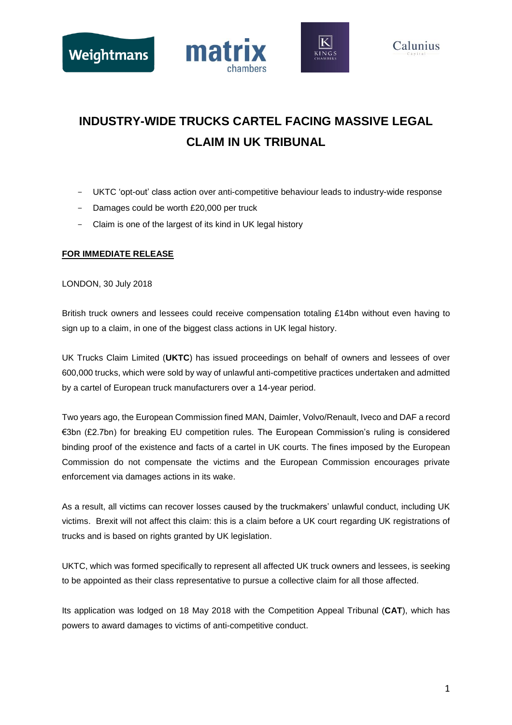





## **INDUSTRY-WIDE TRUCKS CARTEL FACING MASSIVE LEGAL CLAIM IN UK TRIBUNAL**

- UKTC 'opt-out' class action over anti-competitive behaviour leads to industry-wide response
- Damages could be worth £20,000 per truck
- Claim is one of the largest of its kind in UK legal history

### **FOR IMMEDIATE RELEASE**

LONDON, 30 July 2018

British truck owners and lessees could receive compensation totaling £14bn without even having to sign up to a claim, in one of the biggest class actions in UK legal history.

UK Trucks Claim Limited (**UKTC**) has issued proceedings on behalf of owners and lessees of over 600,000 trucks, which were sold by way of unlawful anti-competitive practices undertaken and admitted by a cartel of European truck manufacturers over a 14-year period.

Two years ago, the European Commission fined MAN, Daimler, Volvo/Renault, Iveco and DAF a record €3bn (£2.7bn) for breaking EU competition rules. The European Commission's ruling is considered binding proof of the existence and facts of a cartel in UK courts. The fines imposed by the European Commission do not compensate the victims and the European Commission encourages private enforcement via damages actions in its wake.

As a result, all victims can recover losses caused by the truckmakers' unlawful conduct, including UK victims. Brexit will not affect this claim: this is a claim before a UK court regarding UK registrations of trucks and is based on rights granted by UK legislation.

UKTC, which was formed specifically to represent all affected UK truck owners and lessees, is seeking to be appointed as their class representative to pursue a collective claim for all those affected.

Its application was lodged on 18 May 2018 with the Competition Appeal Tribunal (**CAT**), which has powers to award damages to victims of anti-competitive conduct.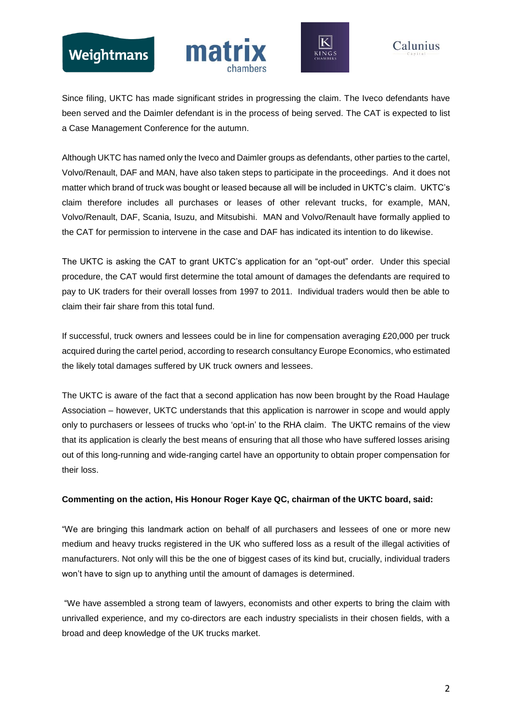# Weightmans





## Calunius

Since filing, UKTC has made significant strides in progressing the claim. The Iveco defendants have been served and the Daimler defendant is in the process of being served. The CAT is expected to list a Case Management Conference for the autumn.

Although UKTC has named only the Iveco and Daimler groups as defendants, other parties to the cartel, Volvo/Renault, DAF and MAN, have also taken steps to participate in the proceedings. And it does not matter which brand of truck was bought or leased because all will be included in UKTC's claim. UKTC's claim therefore includes all purchases or leases of other relevant trucks, for example, MAN, Volvo/Renault, DAF, Scania, Isuzu, and Mitsubishi. MAN and Volvo/Renault have formally applied to the CAT for permission to intervene in the case and DAF has indicated its intention to do likewise.

The UKTC is asking the CAT to grant UKTC's application for an "opt-out" order. Under this special procedure, the CAT would first determine the total amount of damages the defendants are required to pay to UK traders for their overall losses from 1997 to 2011. Individual traders would then be able to claim their fair share from this total fund.

If successful, truck owners and lessees could be in line for compensation averaging £20,000 per truck acquired during the cartel period, according to research consultancy Europe Economics, who estimated the likely total damages suffered by UK truck owners and lessees.

The UKTC is aware of the fact that a second application has now been brought by the Road Haulage Association – however, UKTC understands that this application is narrower in scope and would apply only to purchasers or lessees of trucks who 'opt-in' to the RHA claim. The UKTC remains of the view that its application is clearly the best means of ensuring that all those who have suffered losses arising out of this long-running and wide-ranging cartel have an opportunity to obtain proper compensation for their loss.

### **Commenting on the action, His Honour Roger Kaye QC, chairman of the UKTC board, said:**

"We are bringing this landmark action on behalf of all purchasers and lessees of one or more new medium and heavy trucks registered in the UK who suffered loss as a result of the illegal activities of manufacturers. Not only will this be the one of biggest cases of its kind but, crucially, individual traders won't have to sign up to anything until the amount of damages is determined.

"We have assembled a strong team of lawyers, economists and other experts to bring the claim with unrivalled experience, and my co-directors are each industry specialists in their chosen fields, with a broad and deep knowledge of the UK trucks market.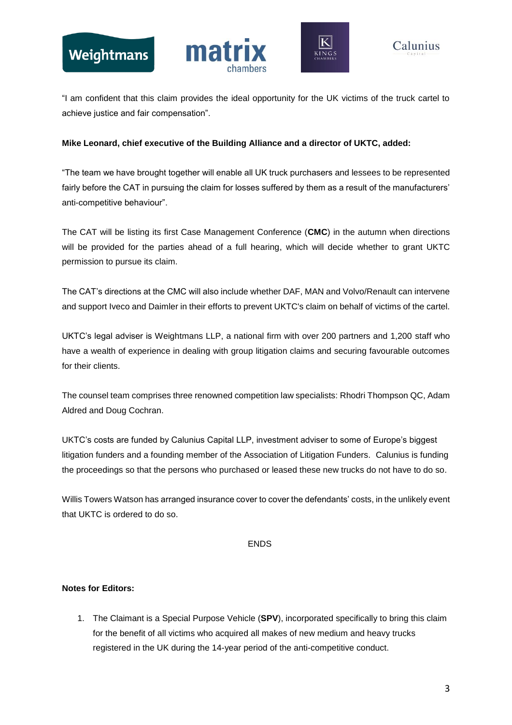



"I am confident that this claim provides the ideal opportunity for the UK victims of the truck cartel to achieve justice and fair compensation".

### **Mike Leonard, chief executive of the Building Alliance and a director of UKTC, added:**

"The team we have brought together will enable all UK truck purchasers and lessees to be represented fairly before the CAT in pursuing the claim for losses suffered by them as a result of the manufacturers' anti-competitive behaviour".

The CAT will be listing its first Case Management Conference (**CMC**) in the autumn when directions will be provided for the parties ahead of a full hearing, which will decide whether to grant UKTC permission to pursue its claim.

The CAT's directions at the CMC will also include whether DAF, MAN and Volvo/Renault can intervene and support Iveco and Daimler in their efforts to prevent UKTC's claim on behalf of victims of the cartel.

UKTC's legal adviser is Weightmans LLP, a national firm with over 200 partners and 1,200 staff who have a wealth of experience in dealing with group litigation claims and securing favourable outcomes for their clients.

The counsel team comprises three renowned competition law specialists: Rhodri Thompson QC, Adam Aldred and Doug Cochran.

UKTC's costs are funded by Calunius Capital LLP, investment adviser to some of Europe's biggest litigation funders and a founding member of the Association of Litigation Funders. Calunius is funding the proceedings so that the persons who purchased or leased these new trucks do not have to do so.

Willis Towers Watson has arranged insurance cover to cover the defendants' costs, in the unlikely event that UKTC is ordered to do so.

ENDS

### **Notes for Editors:**

1. The Claimant is a Special Purpose Vehicle (**SPV**), incorporated specifically to bring this claim for the benefit of all victims who acquired all makes of new medium and heavy trucks registered in the UK during the 14-year period of the anti-competitive conduct.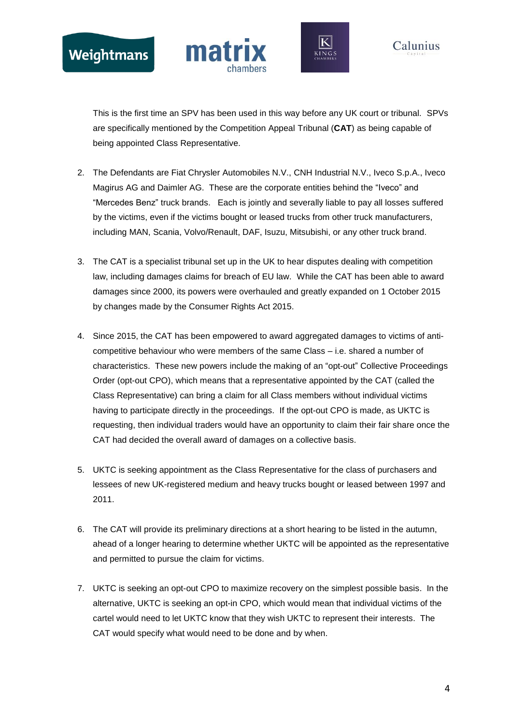







This is the first time an SPV has been used in this way before any UK court or tribunal. SPVs are specifically mentioned by the Competition Appeal Tribunal (**CAT**) as being capable of being appointed Class Representative.

- 2. The Defendants are Fiat Chrysler Automobiles N.V., CNH Industrial N.V., Iveco S.p.A., Iveco Magirus AG and Daimler AG. These are the corporate entities behind the "Iveco" and "Mercedes Benz" truck brands. Each is jointly and severally liable to pay all losses suffered by the victims, even if the victims bought or leased trucks from other truck manufacturers, including MAN, Scania, Volvo/Renault, DAF, Isuzu, Mitsubishi, or any other truck brand.
- 3. The CAT is a specialist tribunal set up in the UK to hear disputes dealing with competition law, including damages claims for breach of EU law. While the CAT has been able to award damages since 2000, its powers were overhauled and greatly expanded on 1 October 2015 by changes made by the Consumer Rights Act 2015.
- 4. Since 2015, the CAT has been empowered to award aggregated damages to victims of anticompetitive behaviour who were members of the same Class – i.e. shared a number of characteristics. These new powers include the making of an "opt-out" Collective Proceedings Order (opt-out CPO), which means that a representative appointed by the CAT (called the Class Representative) can bring a claim for all Class members without individual victims having to participate directly in the proceedings. If the opt-out CPO is made, as UKTC is requesting, then individual traders would have an opportunity to claim their fair share once the CAT had decided the overall award of damages on a collective basis.
- 5. UKTC is seeking appointment as the Class Representative for the class of purchasers and lessees of new UK-registered medium and heavy trucks bought or leased between 1997 and 2011.
- 6. The CAT will provide its preliminary directions at a short hearing to be listed in the autumn, ahead of a longer hearing to determine whether UKTC will be appointed as the representative and permitted to pursue the claim for victims.
- 7. UKTC is seeking an opt-out CPO to maximize recovery on the simplest possible basis. In the alternative, UKTC is seeking an opt-in CPO, which would mean that individual victims of the cartel would need to let UKTC know that they wish UKTC to represent their interests. The CAT would specify what would need to be done and by when.